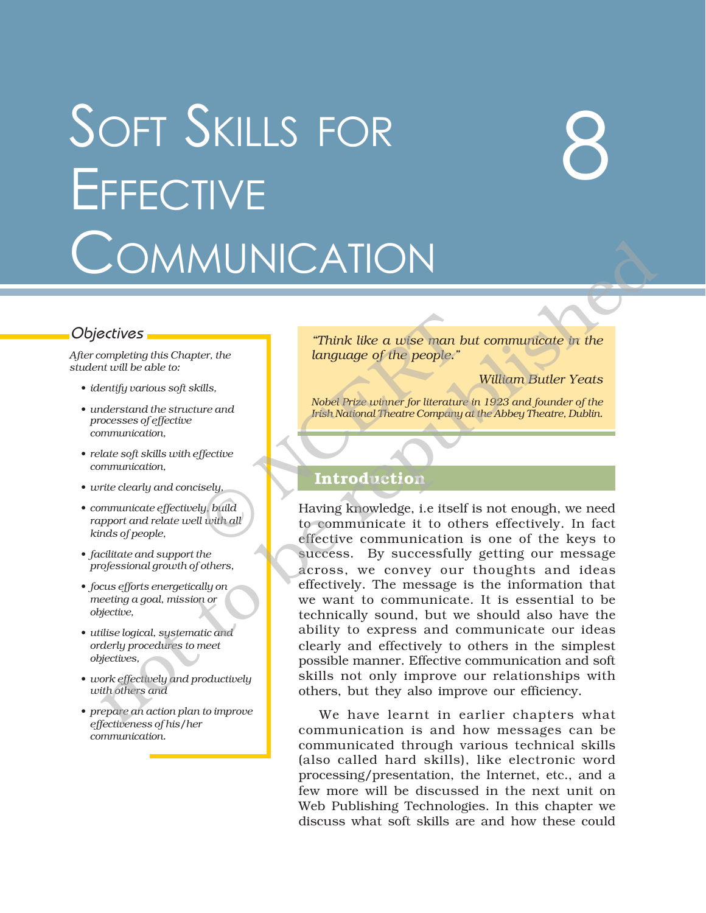## SOFT SKILLS FOR **EFFECTIVE COMMUNICATION**

# 8

*After completing this Chapter, the student will be able to:*

- *ï identify various soft skills,*
- *ï understand the structure and processes of effective communication,*
- *ï relate soft skills with effective communication,*
- *ï write clearly and concisely,*
- *ï communicate effectively, build rapport and relate well with all kinds of people,*
- *ï facilitate and support the professional growth of others,*
- *ï focus efforts energetically on meeting a goal, mission or objective,*
- *ï utilise logical, systematic and orderly procedures to meet objectives,*
- *ï work effectively and productively with others and*
- *ï prepare an action plan to improve effectiveness of his/her communication.*

Objectives **in the** *interpretatives in the <i>interpretatives in the <i>interpretative* in the *interpretative in the interpretative in the interpretative in the interpretation* language of the people.<sup>"</sup>

*William Butler Yeats*

*Nobel Prize winner for literature in 1923 and founder of the Irish National Theatre Company at the Abbey Theatre, Dublin.*

### **Introduction**

Having knowledge, i.e itself is not enough, we need to communicate it to others effectively. In fact effective communication is one of the keys to success. By successfully getting our message across, we convey our thoughts and ideas effectively. The message is the information that we want to communicate. It is essential to be technically sound, but we should also have the ability to express and communicate our ideas clearly and effectively to others in the simplest possible manner. Effective communication and soft skills not only improve our relationships with others, but they also improve our efficiency. Think like a wise man b<br>
language of the people."<br>
tills,<br>
we and<br>
Introduction<br>
light like the people of the people."<br>
Nobel Prize winner for literature<br>
Introduction<br>
isely,<br>
ly, build<br>
liwith all<br>
to communicate it to o  $\n**CATION**\n\n**26.10**\n\n**27.10**\n\n**28.10**\n\n**29.10**\n\n**20.11**\n\n**20.11**\n\n**20.12**\n\n**20.13**\n\n**20.14**\n\n**20.15**\n\n**20.16**\n\n**20.17**\n\n**20.17**\n\n**20.18**\n\n**20.19**\n\n**20.10**\n\n**20.10**\n\n**20.**$ 

We have learnt in earlier chapters what communication is and how messages can be communicated through various technical skills (also called hard skills), like electronic word processing/presentation, the Internet, etc., and a few more will be discussed in the next unit on Web Publishing Technologies. In this chapter we discuss what soft skills are and how these could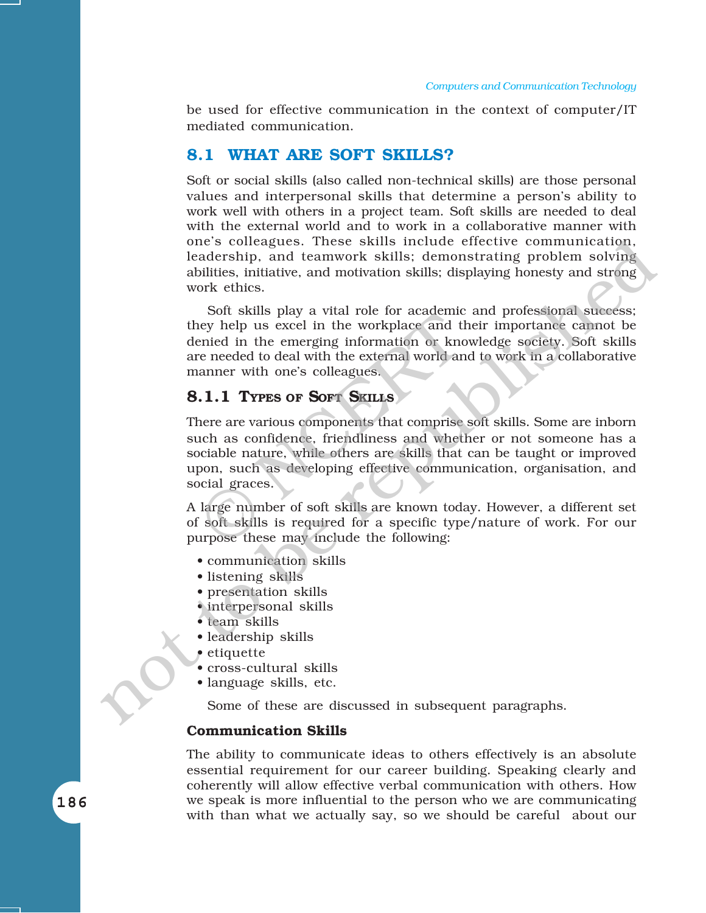be used for effective communication in the context of computer/IT mediated communication.

#### **8.1 WHAT ARE SOFT SKILLS?**

Soft or social skills (also called non-technical skills) are those personal values and interpersonal skills that determine a person's ability to work well with others in a project team. Soft skills are needed to deal with the external world and to work in a collaborative manner with one's colleagues. These skills include effective communication, leadership, and teamwork skills; demonstrating problem solving abilities, initiative, and motivation skills; displaying honesty and strong work ethics.

Soft skills play a vital role for academic and professional success; they help us excel in the workplace and their importance cannot be denied in the emerging information or knowledge society. Soft skills are needed to deal with the external world and to work in a collaborative manner with one's colleagues.

#### **8.1.1 TYPES OF SOFT SKILLS**

There are various components that comprise soft skills. Some are inborn such as confidence, friendliness and whether or not someone has a sociable nature, while others are skills that can be taught or improved upon, such as developing effective communication, organisation, and social graces. Contribution and the workplace and the second in the emerging information or known<br>created to deal with the external world and an anner with one's colleagues.<br>
1.1 TYPES OF SOFT SKILLS<br>
anner are various components that co one's collegates. These skills include effective communication,<br>teachersing, and teamwork skills; demonstrating problem solving<br>abilities, initiative, and motivation skills; displaying honesty and strong<br>work effites. Sof

A large number of soft skills are known today. However, a different set of soft skills is required for a specific type/nature of work. For our purpose these may include the following:

- communication skills
- listening skills
- presentation skills
- interpersonal skills
- $\bullet$  team skills
- leadership skills
- $\epsilon$  etiquette
- cross-cultural skills
- language skills, etc.

Some of these are discussed in subsequent paragraphs.

#### **Communication Skills**

The ability to communicate ideas to others effectively is an absolute essential requirement for our career building. Speaking clearly and coherently will allow effective verbal communication with others. How we speak is more influential to the person who we are communicating with than what we actually say, so we should be careful about our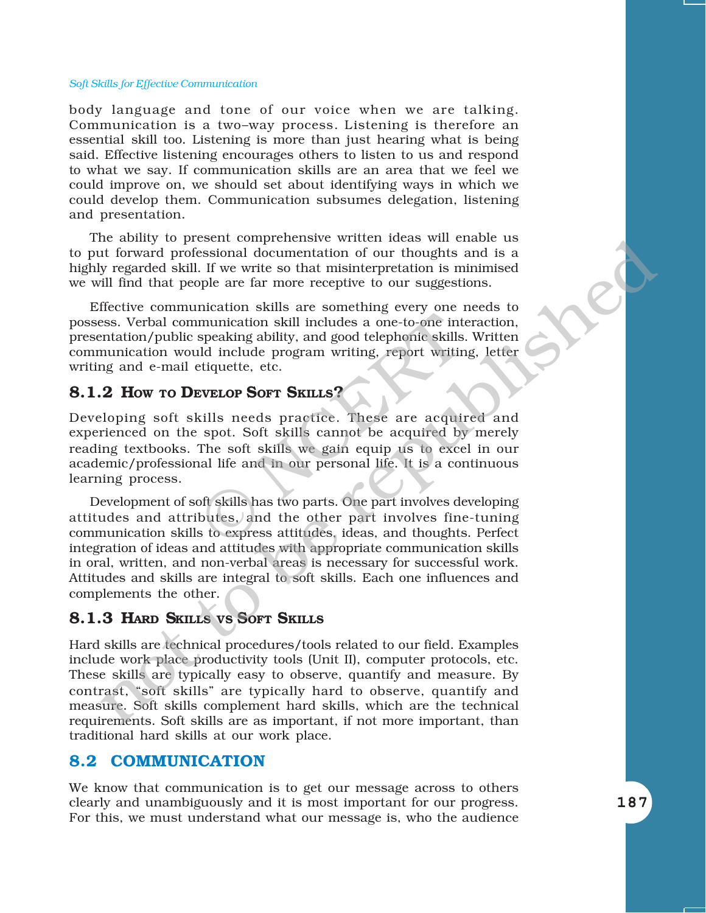body language and tone of our voice when we are talking. Communication is a two-way process. Listening is therefore an essential skill too. Listening is more than just hearing what is being said. Effective listening encourages others to listen to us and respond to what we say. If communication skills are an area that we feel we could improve on, we should set about identifying ways in which we could develop them. Communication subsumes delegation, listening and presentation.

The ability to present comprehensive written ideas will enable us to put forward professional documentation of our thoughts and is a highly regarded skill. If we write so that misinterpretation is minimised we will find that people are far more receptive to our suggestions.

Effective communication skills are something every one needs to possess. Verbal communication skill includes a one-to-one interaction, presentation/public speaking ability, and good telephonic skills. Written communication would include program writing, report writing, letter writing and e-mail etiquette, etc.

#### **8.1.2 HOW TO DEVELOP SOFT SKILLS?**

Developing soft skills needs practice. These are acquired and experienced on the spot. Soft skills cannot be acquired by merely reading textbooks. The soft skills we gain equip us to excel in our academic/professional life and in our personal life. It is a continuous learning process. munication skill includes a one-to-one interpreaking ability, and good telephonic skills<br>ald include program writing, report writing estills include program writing, report writing<br>estills include program writing, report w

Development of soft skills has two parts. One part involves developing attitudes and attributes, and the other part involves fine-tuning communication skills to express attitudes, ideas, and thoughts. Perfect integration of ideas and attitudes with appropriate communication skills in oral, written, and non-verbal areas is necessary for successful work. Attitudes and skills are integral to soft skills. Each one influences and complements the other. include stall. If we write so that misrical reservant in the same state of the parameteristic stall. In the variet so that misrinceprediction is minimized that II find that prople are far more receptive to our suggestions

#### **8.1.3 HARD SKILLS VS SOFT SKILLS**

Hard skills are technical procedures/tools related to our field. Examples include work place productivity tools (Unit II), computer protocols, etc. These skills are typically easy to observe, quantify and measure. By contrast, "soft skills" are typically hard to observe, quantify and measure. Soft skills complement hard skills, which are the technical requirements. Soft skills are as important, if not more important, than traditional hard skills at our work place.

#### **8.2 COMMUNICATION**

We know that communication is to get our message across to others clearly and unambiguously and it is most important for our progress. For this, we must understand what our message is, who the audience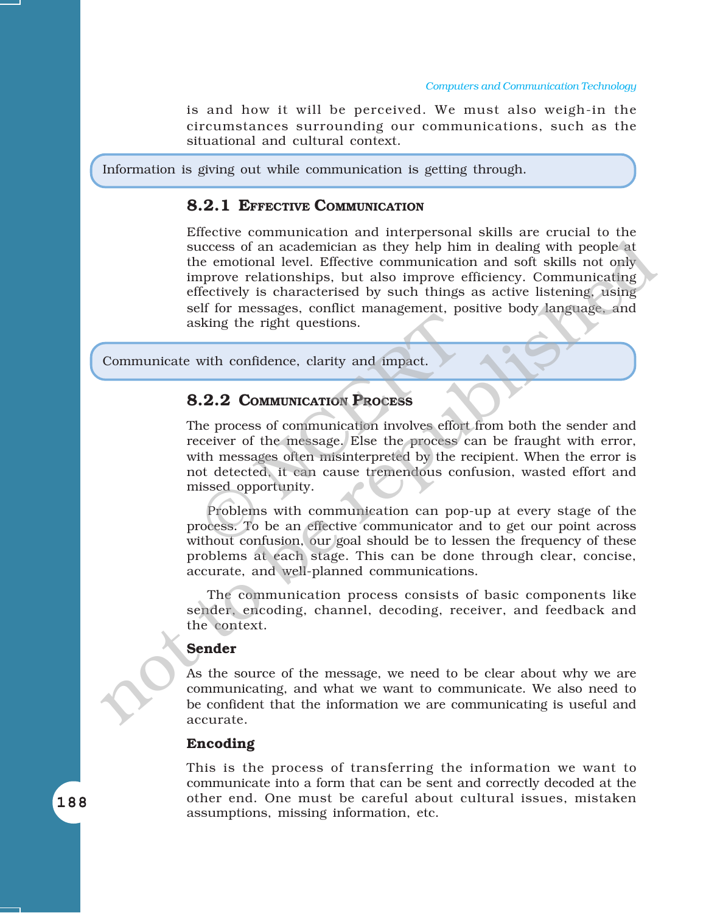is and how it will be perceived. We must also weigh-in the circumstances surrounding our communications, such as the situational and cultural context.

Information is giving out while communication is getting through.

#### **8.2.1 EFFECTIVE COMMUNICATION**

Effective communication and interpersonal skills are crucial to the success of an academician as they help him in dealing with people at the emotional level. Effective communication and soft skills not only improve relationships, but also improve efficiency. Communicating effectively is characterised by such things as active listening, using self for messages, conflict management, positive body language, and asking the right questions. success of an academician as they help him in dealing with people at the emotional erel. Effective communication and soft skills not only<br>tmprove relationships, but also improve efficiency. Communicating<br>effectively is ch

Communicate with confidence, clarity and impact.

#### **8.2.2 COMMUNICATION PROCESS**

The process of communication involves effort from both the sender and receiver of the message. Else the process can be fraught with error, with messages often misinterpreted by the recipient. When the error is not detected, it can cause tremendous confusion, wasted effort and missed opportunity. Sking the right questions.<br>
With confidence, clarity and impact.<br>
2.2 COMMUNICATION PROCESS<br>
the process of communication involves effore:<br>
ceiver of the message. Else the process of<br>
the messages often misinterpreted by t

Problems with communication can pop-up at every stage of the process. To be an effective communicator and to get our point across without confusion, our goal should be to lessen the frequency of these problems at each stage. This can be done through clear, concise, accurate, and well-planned communications.

The communication process consists of basic components like sender, encoding, channel, decoding, receiver, and feedback and the context.

#### **Sender**

As the source of the message, we need to be clear about why we are communicating, and what we want to communicate. We also need to be confident that the information we are communicating is useful and accurate.

#### **Encoding**

This is the process of transferring the information we want to communicate into a form that can be sent and correctly decoded at the other end. One must be careful about cultural issues, mistaken assumptions, missing information, etc.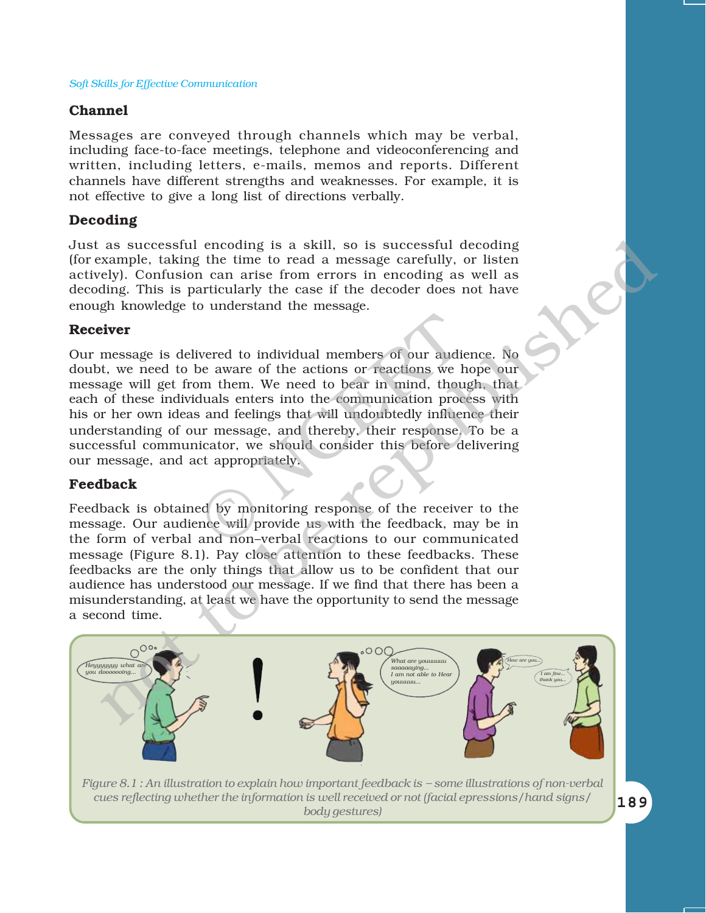#### **Channel**

Messages are conveyed through channels which may be verbal, including face-to-face meetings, telephone and videoconferencing and written, including letters, e-mails, memos and reports. Different channels have different strengths and weaknesses. For example, it is not effective to give a long list of directions verbally.

#### **Decoding**

Just as successful encoding is a skill, so is successful decoding (for example, taking the time to read a message carefully, or listen actively). Confusion can arise from errors in encoding as well as decoding. This is particularly the case if the decoder does not have enough knowledge to understand the message.

#### **Receiver**

Our message is delivered to individual members of our audience. No doubt, we need to be aware of the actions or reactions we hope our message will get from them. We need to bear in mind, though, that each of these individuals enters into the communication process with his or her own ideas and feelings that will undoubtedly influence their understanding of our message, and thereby, their response. To be a successful communicator, we should consider this before delivering our message, and act appropriately. vered to individual members of our audie<br>
be aware of the actions or reactions we h<br>
be m them. We need to bear in mind, thou<br>
duals enters into the communication proces<br>
and feelings that will undoubtedly influent<br>
ur mes

#### **Feedback**

Feedback is obtained by monitoring response of the receiver to the message. Our audience will provide us with the feedback, may be in the form of verbal and non-verbal reactions to our communicated message (Figure 8.1). Pay close attention to these feedbacks. These feedbacks are the only things that allow us to be confident that our audience has understood our message. If we find that there has been a misunderstanding, at least we have the opportunity to send the message a second time.



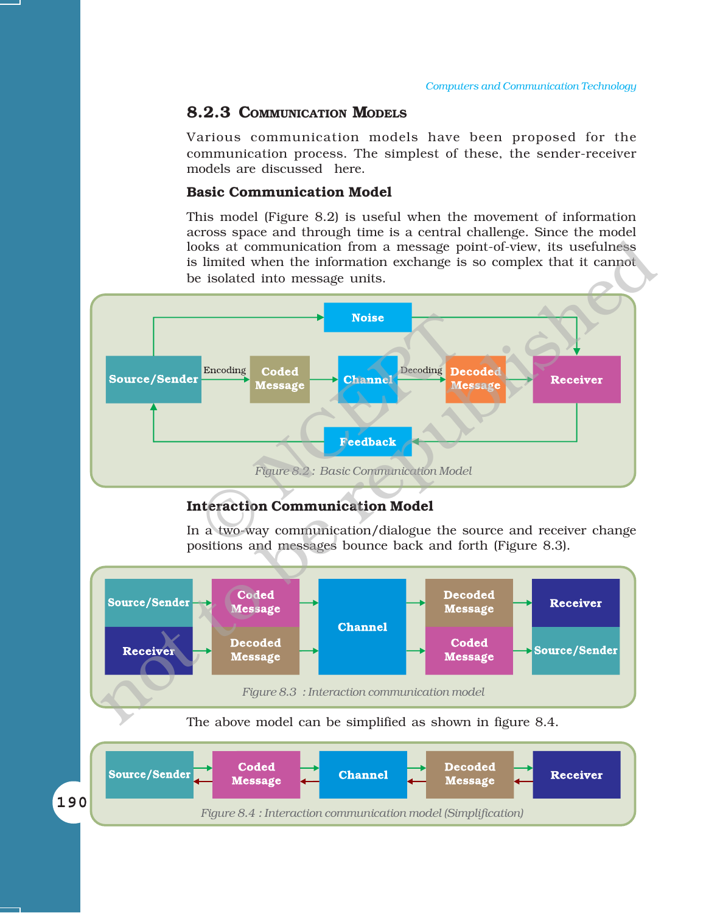#### **8.2.3 COMMUNICATION MODELS**

Various communication models have been proposed for the communication process. The simplest of these, the sender-receiver models are discussed here.

#### **Basic Communication Model**

This model (Figure 8.2) is useful when the movement of information across space and through time is a central challenge. Since the model looks at communication from a message point-of-view, its usefulness is limited when the information exchange is so complex that it cannot be isolated into message units.



#### **Interaction Communication Model**

In a two-way communication/dialogue the source and receiver change positions and messages bounce back and forth (Figure 8.3).

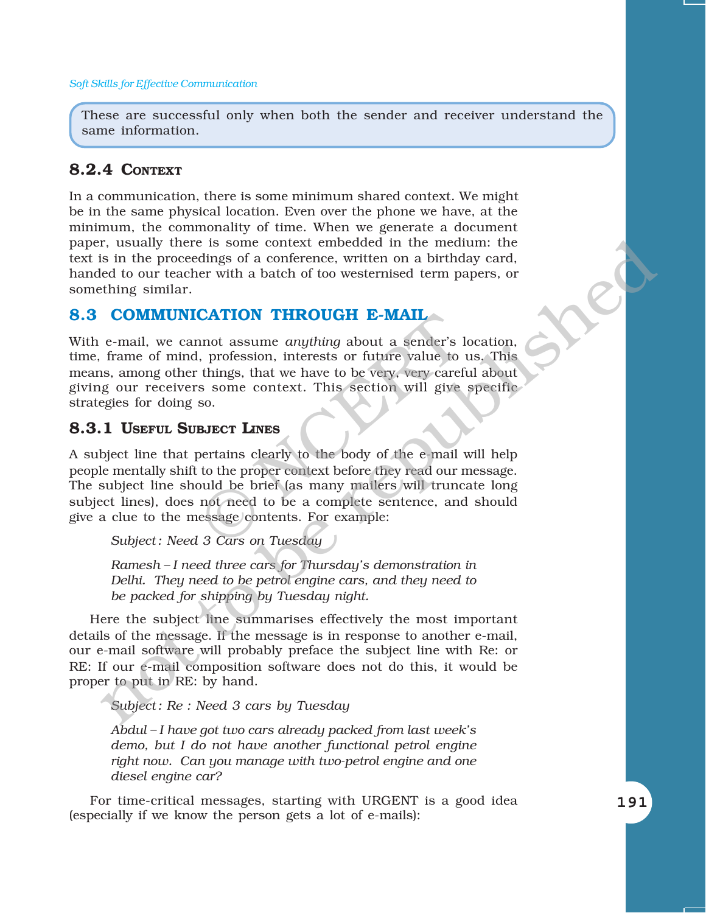These are successful only when both the sender and receiver understand the same information.

#### **8.2.4 CONTEXT**

In a communication, there is some minimum shared context. We might be in the same physical location. Even over the phone we have, at the minimum, the commonality of time. When we generate a document paper, usually there is some context embedded in the medium: the text is in the proceedings of a conference, written on a birthday card, handed to our teacher with a batch of too westernised term papers, or something similar.

#### **8.3 COMMUNICATION THROUGH E-MAIL**

With e-mail, we cannot assume *anything* about a sender's location, time, frame of mind, profession, interests or future value to us. This means, among other things, that we have to be very, very careful about giving our receivers some context. This section will give specific strategies for doing so.

#### **8.3.1 USEFUL SUBJECT LINES**

A subject line that pertains clearly to the body of the e-mail will help people mentally shift to the proper context before they read our message. The subject line should be brief (as many mailers will truncate long subject lines), does not need to be a complete sentence, and should give a clue to the message/contents. For example: **CATION THROUGH E-MAIL**<br>not assume *anything* about a sender's 1<br>, profession, interests or future value to<br>things, that we have to be very, very caref<br>s some context. This section will give<br>so.<br>**BJECT LINES**<br>pertains clea r, usually there is some context embedded in the medium: the recordings of a conference, written on a birthday card.<br>
Elect to our teacher with a batch of too westernised term papers, or<br>
thing similar.<br>
COMMUNICATION THR

*Subject : Need 3 Cars on Tuesday*

*Ramesh - I need three cars for Thursday's demonstration in Delhi. They need to be petrol engine cars, and they need to be packed for shipping by Tuesday night.*

Here the subject line summarises effectively the most important details of the message. If the message is in response to another e-mail, our e-mail software will probably preface the subject line with Re: or RE: If our e-mail composition software does not do this, it would be proper to put in RE: by hand.

*Subject : Re : Need 3 cars by Tuesday*

*Abdul ñ I have got two cars already packed from last weekís demo, but I do not have another functional petrol engine right now. Can you manage with two-petrol engine and one diesel engine car?*

For time-critical messages, starting with URGENT is a good idea (especially if we know the person gets a lot of e-mails):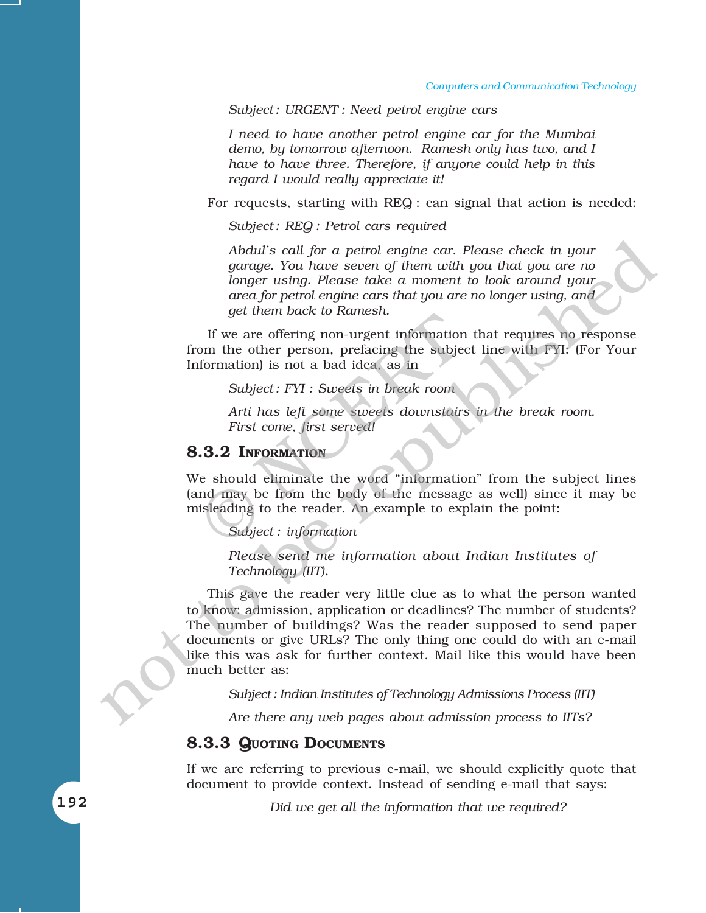*Subject : URGENT : Need petrol engine cars*

*I need to have another petrol engine car for the Mumbai demo, by tomorrow afternoon. Ramesh only has two, and I have to have three. Therefore, if anyone could help in this regard I would really appreciate it!*

For requests, starting with REQ : can signal that action is needed:

*Subject : REQ : Petrol cars required*

*Abdulís call for a petrol engine car. Please check in your garage. You have seven of them with you that you are no longer using. Please take a moment to look around your area for petrol engine cars that you are no longer using, and get them back to Ramesh.*

If we are offering non-urgent information that requires no response from the other person, prefacing the subject line with FYI: (For Your Information) is not a bad idea, as in get them back to Kamesh.<br>
If we are offering non-urgent information<br>
om the other person, prefacing the subject<br>
formation) is not a bad idea, as in<br>
Subject: FYI : Sweets in break room<br>
Arti has left some sweets downstair

*Subject : FYI : Sweets in break room*

*Arti has left some sweets downstairs in the break room. First come, first served!*

#### **8.3.2 INFORMATION**

We should eliminate the word "information" from the subject lines (and may be from the body of the message as well) since it may be misleading to the reader. An example to explain the point:

*Subject : information*

*Please send me information about Indian Institutes of Technology (IIT).*

This gave the reader very little clue as to what the person wanted to know: admission, application or deadlines? The number of students? The number of buildings? Was the reader supposed to send paper documents or give URLs? The only thing one could do with an e-mail like this was ask for further context. Mail like this would have been much better as: Abdul's call for a petrol engine car. Please check in your<br>spare, You have seven of them with you that you have republished to the republic took around your<br>area for petrol engine cas that you are no longer using, and<br>get

*Subject : Indian Institutes of Technology Admissions Process (IIT)*

*Are there any web pages about admission process to IITs?*

#### **8.3.3 QUOTING DOCUMENTS**

If we are referring to previous e-mail, we should explicitly quote that document to provide context. Instead of sending e-mail that says:

*Did we get all the information that we required?*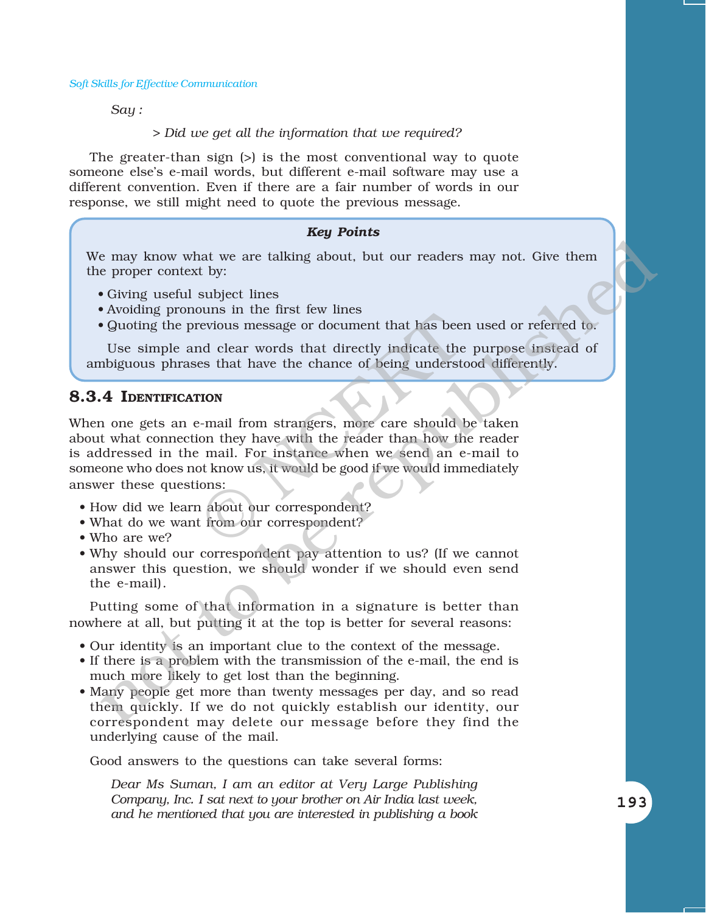*Say :*

*> Did we get all the information that we required?*

The greater-than sign (>) is the most conventional way to quote someone elseís e-mail words, but different e-mail software may use a different convention. Even if there are a fair number of words in our response, we still might need to quote the previous message.

#### *Key Points*

We may know what we are talking about, but our readers may not. Give them the proper context by:

- Giving useful subject lines
- Avoiding pronouns in the first few lines
- Quoting the previous message or document that has been used or referred to.

Use simple and clear words that directly indicate the purpose instead of ambiguous phrases that have the chance of being understood differently.

#### **8.3.4 IDENTIFICATION**

When one gets an e-mail from strangers, more care should be taken about what connection they have with the reader than how the reader is addressed in the mail. For instance when we send an e-mail to someone who does not know us, it would be good if we would immediately answer these questions: between that has been<br>
revious message or document that has been<br>
and clear words that directly indicate the<br>
es that have the chance of being understate<br>
revious<br>
revious<br>
mail from strangers, more care should be<br>
ion the e may know what we are talking about, but our readers may not. Give them<br>
• Giving useful aubject lines<br>
• Giving useful aubject lines<br>
• Avoiding pronouns in the first (ew lines<br>
• Avoiding the previous message or documen

- How did we learn about our correspondent?
- What do we want from our correspondent?
- Who are we?
- Why should our correspondent pay attention to us? (If we cannot answer this question, we should wonder if we should even send the e-mail).

Putting some of that information in a signature is better than nowhere at all, but putting it at the top is better for several reasons:

- Our identity is an important clue to the context of the message.
- If there is a problem with the transmission of the e-mail, the end is much more likely to get lost than the beginning.
- Many people get more than twenty messages per day, and so read them quickly. If we do not quickly establish our identity, our correspondent may delete our message before they find the underlying cause of the mail.

Good answers to the questions can take several forms:

*Dear Ms Suman, I am an editor at Very Large Publishing Company, Inc. I sat next to your brother on Air India last week, and he mentioned that you are interested in publishing a book*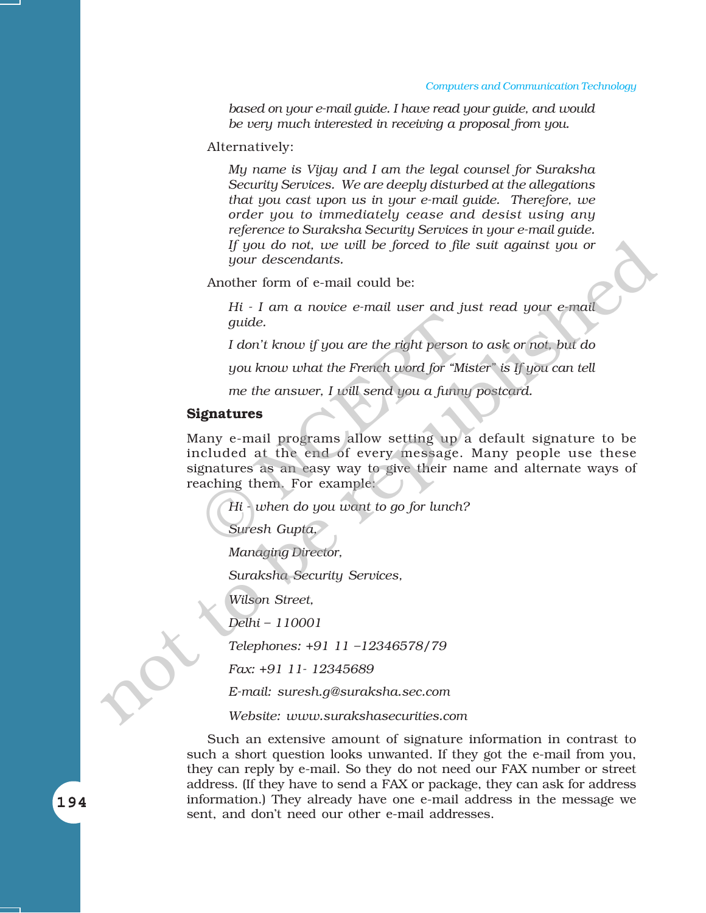#### *Computers and Communication Technology*

*based on your e-mail guide. I have read your guide, and would be very much interested in receiving a proposal from you.*

Alternatively:

*My name is Vijay and I am the legal counsel for Suraksha Security Services. We are deeply disturbed at the allegations that you cast upon us in your e-mail guide. Therefore, we order you to immediately cease and desist using any reference to Suraksha Security Services in your e-mail guide. If you do not, we will be forced to file suit against you or your descendants.*

Another form of e-mail could be:

*Hi - I am a novice e-mail user and just read your e-mail guide.*

*I donít know if you are the right person to ask or not, but do*

*you know what the French word for "Mister" is If you can tell* 

*me the answer, I will send you a funny postcard.*

#### **Signatures**

Many e-mail programs allow setting up a default signature to be included at the end of every message. Many people use these signatures as an easy way to give their name and alternate ways of reaching them. For example: guide.<br>
I don't know if you are the right person<br>
you know what the French word for "M<br>
me the answer, I will send you a funny<br> **ignatures**<br>
any e-mail programs allow setting up<br>
included at the end of every message.<br>
gnat If you do not, ue will be forced to file suit against you or<br>symm descendants.<br>Another form of e-mail could be:<br> $11i + 1$  am a notice e-mail user and just read your e-mail<br>guide.<br>I don't know if you are the right person to

*Hi - when do you want to go for lunch?*

*Suresh Gupta,*

*Managing Director,*

*Suraksha Security Services,*

*Wilson Street,*

*Delhi - 110001* 

Telephones: +91 11 -12346578/79

*Fax: +91 11- 12345689*

*E-mail: suresh.g@suraksha.sec.com*

*Website: www.surakshasecurities.com*

Such an extensive amount of signature information in contrast to such a short question looks unwanted. If they got the e-mail from you, they can reply by e-mail. So they do not need our FAX number or street address. (If they have to send a FAX or package, they can ask for address information.) They already have one e-mail address in the message we sent, and don't need our other e-mail addresses.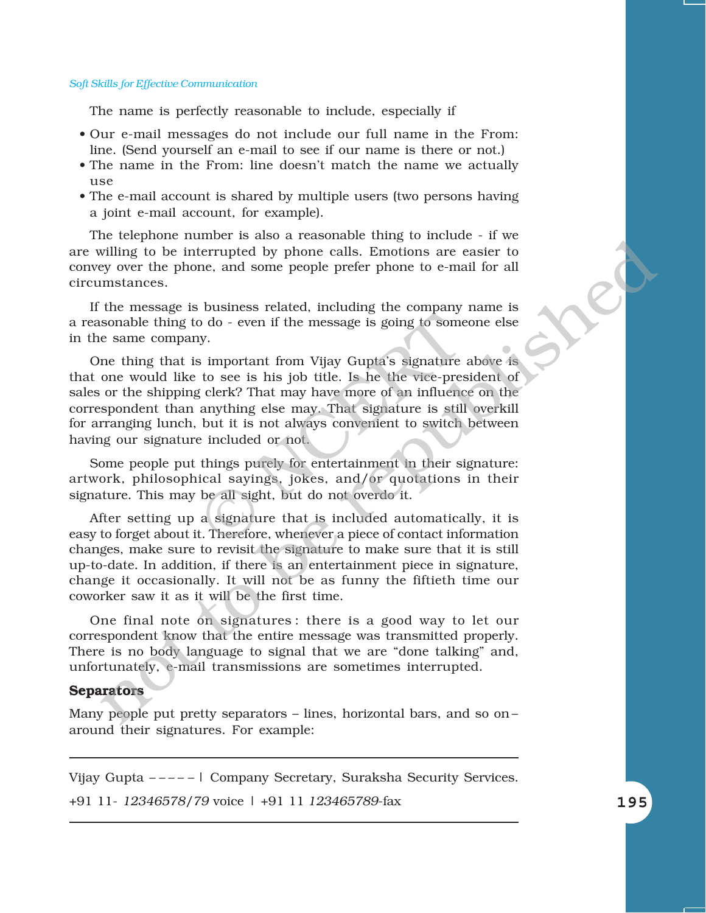The name is perfectly reasonable to include, especially if

- ï Our e-mail messages do not include our full name in the From: line. (Send yourself an e-mail to see if our name is there or not.)
- The name in the From: line doesn't match the name we actually  $11S<sub>e</sub>$
- The e-mail account is shared by multiple users (two persons having a joint e-mail account, for example).

The telephone number is also a reasonable thing to include - if we are willing to be interrupted by phone calls. Emotions are easier to convey over the phone, and some people prefer phone to e-mail for all circumstances.

If the message is business related, including the company name is a reasonable thing to do - even if the message is going to someone else in the same company.

One thing that is important from Vijay Guptaís signature above is that one would like to see is his job title. Is he the vice-president of sales or the shipping clerk? That may have more of an influence on the correspondent than anything else may. That signature is still overkill for arranging lunch, but it is not always convenient to switch between having our signature included or not. bo do - even if the message is going to some<br>y.<br>in important from Vijay Gupta's signature<br>to see is his job title. Is he the vice-pres<br>g clerk? That may have more of an influence<br>anything else may. That signature is still<br>

Some people put things purely for entertainment in their signature: artwork, philosophical sayings, jokes, and/or quotations in their signature. This may be all sight, but do not overdo it.

After setting up a signature that is included automatically, it is easy to forget about it. Therefore, whenever a piece of contact information changes, make sure to revisit the signature to make sure that it is still up-to-date. In addition, if there is an entertainment piece in signature, change it occasionally. It will not be as funny the fiftieth time our coworker saw it as it will be the first time. not except<br>one tamost solution that the energy over the properties and contage of<br>meaning to be interrupted by phone calls. Emotions are easier to<br>mistances.<br>The measage is business related, including the company name is<br>

One final note on signatures : there is a good way to let our correspondent know that the entire message was transmitted properly. There is no body language to signal that we are "done talking" and, unfortunately, e-mail transmissions are sometimes interrupted.

#### **Separators**

Many people put pretty separators  $-$  lines, horizontal bars, and so on  $$ around their signatures. For example:

Vijay Gupta ----- | Company Secretary, Suraksha Security Services.

+91 11- *12346578/79* voice | +91 11 *123465789*-fax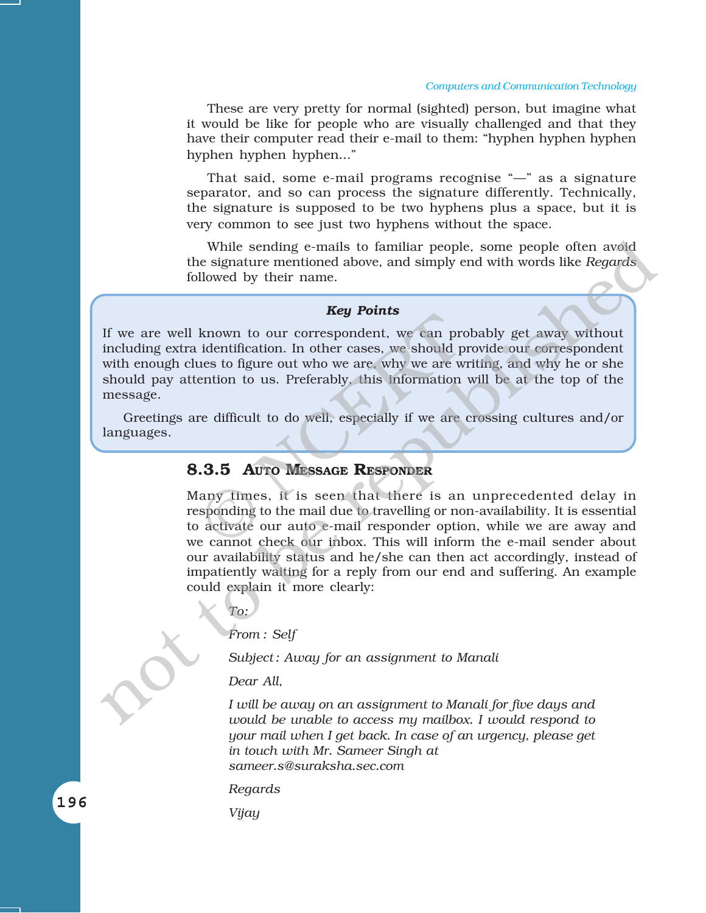#### *Computers and Communication Technology*

These are very pretty for normal (sighted) person, but imagine what it would be like for people who are visually challenged and that they have their computer read their e-mail to them: "hyphen hyphen hyphen hyphen hyphen..."

That said, some e-mail programs recognise  $-$ " as a signature separator, and so can process the signature differently. Technically, the signature is supposed to be two hyphens plus a space, but it is very common to see just two hyphens without the space.

While sending e-mails to familiar people, some people often avoid the signature mentioned above, and simply end with words like *Regards* followed by their name.

*Key Points*

If we are well known to our correspondent, we can probably get away without including extra identification. In other cases, we should provide our correspondent with enough clues to figure out who we are, why we are writing, and why he or she should pay attention to us. Preferably, this information will be at the top of the message. **EXECUTE:**<br>
Known to our correspondent, we can providentification. In other cases, we should p<br>
ues to figure out who we are, why we are w<br>
ention to us. Preferably, this information<br>
re difficult to do well, especially if

Greetings are difficult to do well, especially if we are crossing cultures and/or languages.

#### **8.3.5 AUTO MESSAGE RESPONDER**

Many times, it is seen that there is an unprecedented delay in responding to the mail due to travelling or non-availability. It is essential to activate our auto e-mail responder option, while we are away and we cannot check our inbox. This will inform the e-mail sender about our availability status and he/she can then act accordingly, instead of impatiently waiting for a reply from our end and suffering. An example could explain it more clearly: While sending e-mails to familiar people, some people often a<br>wide signature mentioned above, and simply end with words like<br> $Regands$  followed by their name.<br>
<br> **Key Points**<br>
If we are well known to our correspondent, we can

*To:*

*From : Self*

*Subject : Away for an assignment to Manali*

*Dear All,*

*I will be away on an assignment to Manali for five days and would be unable to access my mailbox. I would respond to your mail when I get back. In case of an urgency, please get in touch with Mr. Sameer Singh at sameer.s@suraksha.sec.com*

*Regards*

*Vijay*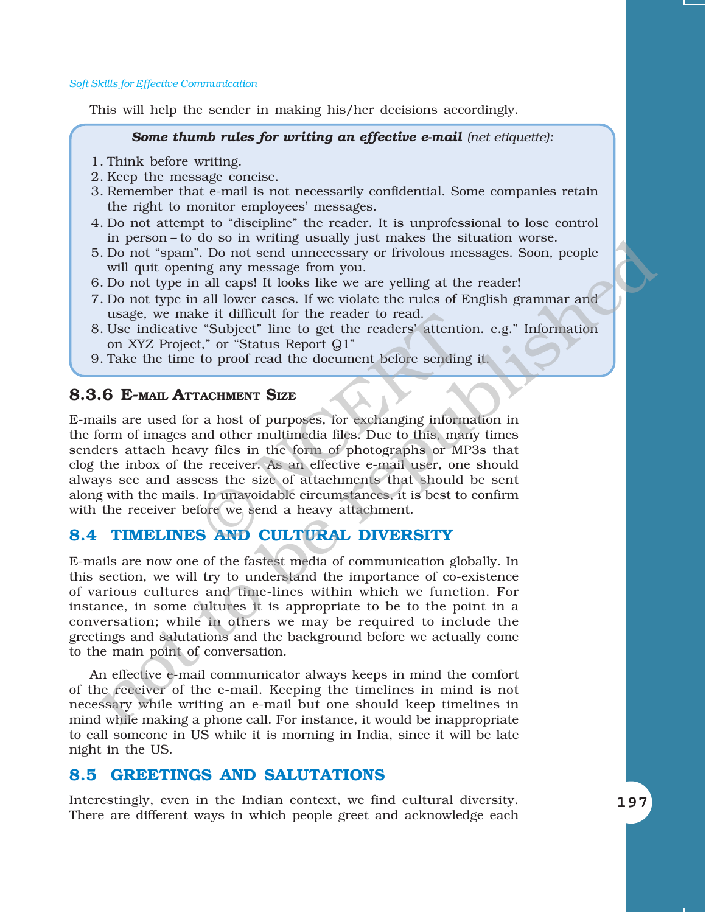This will help the sender in making his/her decisions accordingly.

#### *Some thumb rules for writing an effective e-mail (net etiquette):*

- 1. Think before writing.
- 2. Keep the message concise.
- 3. Remember that e-mail is not necessarily confidential. Some companies retain the right to monitor employees' messages.
- 4. Do not attempt to "discipline" the reader. It is unprofessional to lose control in person-to do so in writing usually just makes the situation worse.
- 5. Do not "spam". Do not send unnecessary or frivolous messages. Soon, people will quit opening any message from you.
- 6. Do not type in all caps! It looks like we are yelling at the reader!
- 7. Do not type in all lower cases. If we violate the rules of English grammar and usage, we make it difficult for the reader to read.
- 8. Use indicative "Subject" line to get the readers' attention. e.g." Information on XYZ Project," or "Status Report Q1"
- 9. Take the time to proof read the document before sending it.

#### **8.3.6 E-MAIL ATTACHMENT SIZE**

E-mails are used for a host of purposes, for exchanging information in the form of images and other multimedia files. Due to this, many times senders attach heavy files in the form of photographs or MP3s that clog the inbox of the receiver. As an effective e-mail user, one should always see and assess the size of attachments that should be sent along with the mails. In unavoidable circumstances, it is best to confirm with the receiver before we send a heavy attachment. Ke it difficult for the reader to read.<br>
"Subject" line to get the readers' attentic<br>
t," or "Status Report Q1"<br>
to proof read the document before sending<br>
CACHMENT SIZE<br>
a host of purposes, for exchanging inform<br>
and othe In peason –  $0$  to so in whiting usstained just inacts are suitarion was:<br>
no not "span". Do not send unnecessary or frivolous messages. Soon, people<br>
will qui opening any message from you.<br>
Do not type in all lower cases

#### **8.4 TIMELINES AND CULTURAL DIVERSITY**

E-mails are now one of the fastest media of communication globally. In this section, we will try to understand the importance of co-existence of various cultures and time-lines within which we function. For instance, in some cultures it is appropriate to be to the point in a conversation; while in others we may be required to include the greetings and salutations and the background before we actually come to the main point of conversation.

An effective e-mail communicator always keeps in mind the comfort of the receiver of the e-mail. Keeping the timelines in mind is not necessary while writing an e-mail but one should keep timelines in mind while making a phone call. For instance, it would be inappropriate to call someone in US while it is morning in India, since it will be late night in the US.

#### **8.5 GREETINGS AND SALUTATIONS**

Interestingly, even in the Indian context, we find cultural diversity. There are different ways in which people greet and acknowledge each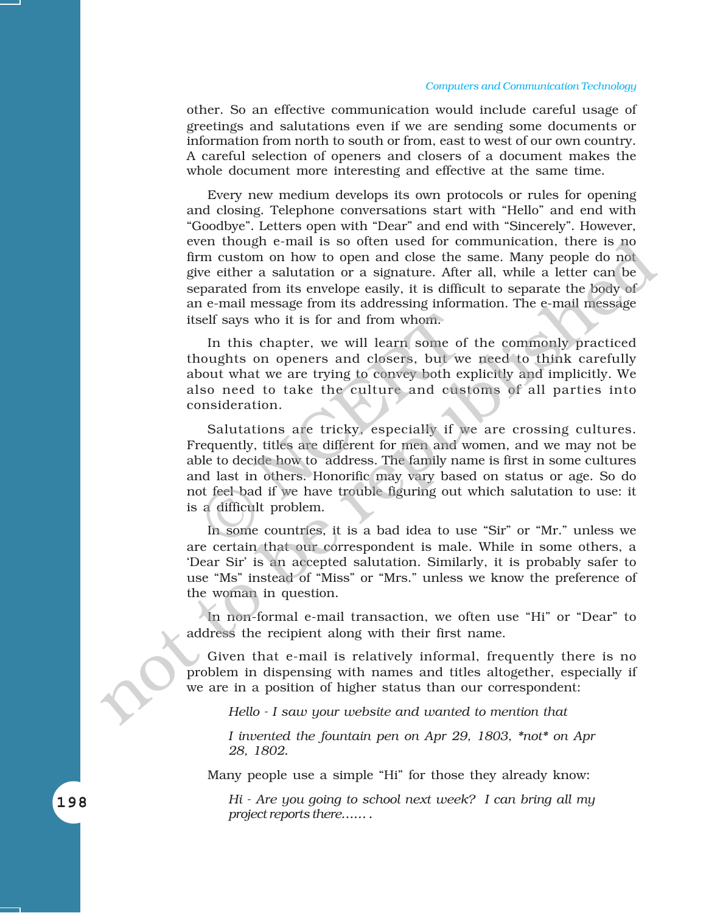#### *Computers and Communication Technology*

other. So an effective communication would include careful usage of greetings and salutations even if we are sending some documents or information from north to south or from, east to west of our own country. A careful selection of openers and closers of a document makes the whole document more interesting and effective at the same time.

Every new medium develops its own protocols or rules for opening and closing. Telephone conversations start with "Hello" and end with "Goodbye". Letters open with "Dear" and end with "Sincerely". However, even though e-mail is so often used for communication, there is no firm custom on how to open and close the same. Many people do not give either a salutation or a signature. After all, while a letter can be separated from its envelope easily, it is difficult to separate the body of an e-mail message from its addressing information. The e-mail message itself says who it is for and from whom.

In this chapter, we will learn some of the commonly practiced thoughts on openers and closers, but we need to think carefully about what we are trying to convey both explicitly and implicitly. We also need to take the culture and customs of all parties into consideration.

Salutations are tricky, especially if we are crossing cultures. Frequently, titles are different for men and women, and we may not be able to decide how to address. The family name is first in some cultures and last in others. Honorific may vary based on status or age. So do not feel bad if we have trouble figuring out which salutation to use: it is a difficult problem. self says who it is for and from whom.<br>
In this chapter, we will learn some of<br>
noughts on openers and closers, but we<br>
bout what we are trying to convey both ex<br>
so need to take the culture and cus<br>
onsideration.<br>
Salutat even hough e-mail is so often used for communication, there is no<br>even have been assumed for communication of a signature of the all, while a letter can be<br>give during the enduction of a signature of the all, while a lett

In some countries, it is a bad idea to use "Sir" or "Mr." unless we are certain that our correspondent is male. While in some others, a ëDear Sirí is an accepted salutation. Similarly, it is probably safer to use "Ms" instead of "Miss" or "Mrs." unless we know the preference of the woman in question.

In non-formal e-mail transaction, we often use "Hi" or "Dear" to address the recipient along with their first name.

Given that e-mail is relatively informal, frequently there is no problem in dispensing with names and titles altogether, especially if we are in a position of higher status than our correspondent:

*Hello - I saw your website and wanted to mention that*

*I invented the fountain pen on Apr 29, 1803, \*not\* on Apr 28, 1802.*

Many people use a simple "Hi" for those they already know:

*Hi - Are you going to school next week? I can bring all my project reports there......*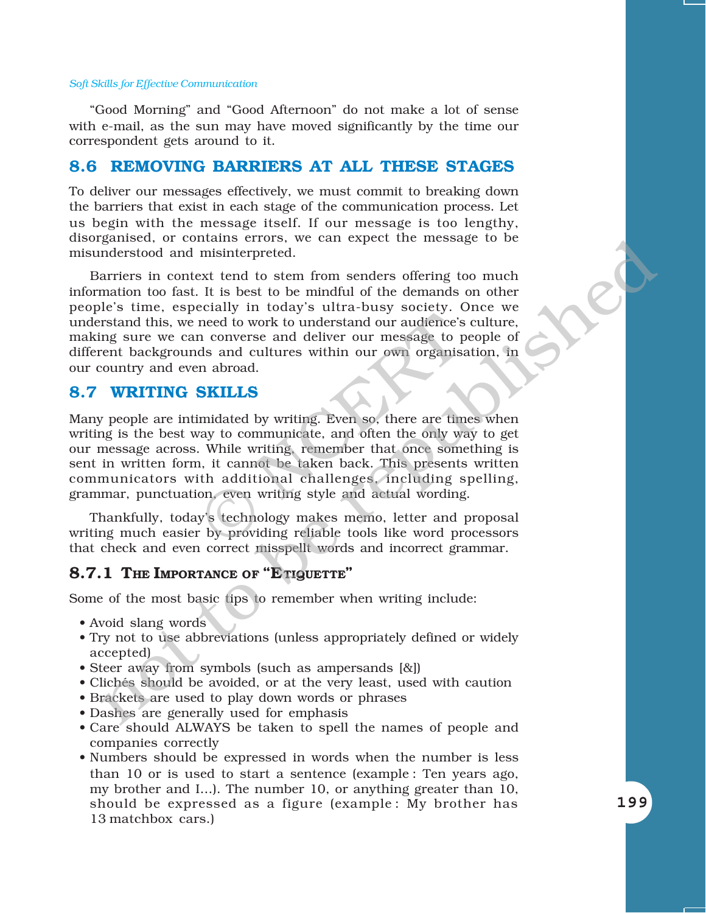"Good Morning" and "Good Afternoon" do not make a lot of sense with e-mail, as the sun may have moved significantly by the time our correspondent gets around to it.

#### **8.6 REMOVING BARRIERS AT ALL THESE STAGES**

To deliver our messages effectively, we must commit to breaking down the barriers that exist in each stage of the communication process. Let us begin with the message itself. If our message is too lengthy, disorganised, or contains errors, we can expect the message to be misunderstood and misinterpreted.

Barriers in context tend to stem from senders offering too much information too fast. It is best to be mindful of the demands on other peopleís time, especially in todayís ultra-busy society. Once we understand this, we need to work to understand our audience's culture, making sure we can converse and deliver our message to people of different backgrounds and cultures within our own organisation, in our country and even abroad. gausset, or contents is the best to be mindful of the demands on the state of the state of the state of the state of the state of the state of the state of the state of the state of the state of the state of the state of t

#### **8.7 WRITING SKILLS**

Many people are intimidated by writing. Even so, there are times when writing is the best way to communicate, and often the only way to get our message across. While writing, remember that once something is sent in written form, it cannot be taken back. This presents written communicators with additional challenges, including spelling, grammar, punctuation, even writing style and actual wording. med to work to understand our audience's<br>
n converse and deliver our message to p<br>
ds and cultures within our own organisa<br>
m abroad.<br>
SKILLS<br>
imidated by writing. Even so, there are tim<br>
ray to communicate, and often the

Thankfully, today's technology makes memo, letter and proposal writing much easier by providing reliable tools like word processors that check and even correct misspellt words and incorrect grammar.

#### **8.7.1 THE IMPORTANCE OF "ETIQUETTE"**

Some of the most basic tips to remember when writing include:

- Avoid slang words
- Try not to use abbreviations (unless appropriately defined or widely accepted)
- Steer away from symbols (such as ampersands  $[&]$ )
- Clichés should be avoided, or at the very least, used with caution
- Brackets are used to play down words or phrases
- Dashes are generally used for emphasis
- Care should ALWAYS be taken to spell the names of people and companies correctly
- Numbers should be expressed in words when the number is less than 10 or is used to start a sentence (example : Ten years ago, my brother and I...). The number 10, or anything greater than 10, should be expressed as a figure (example : My brother has 13 matchbox cars.)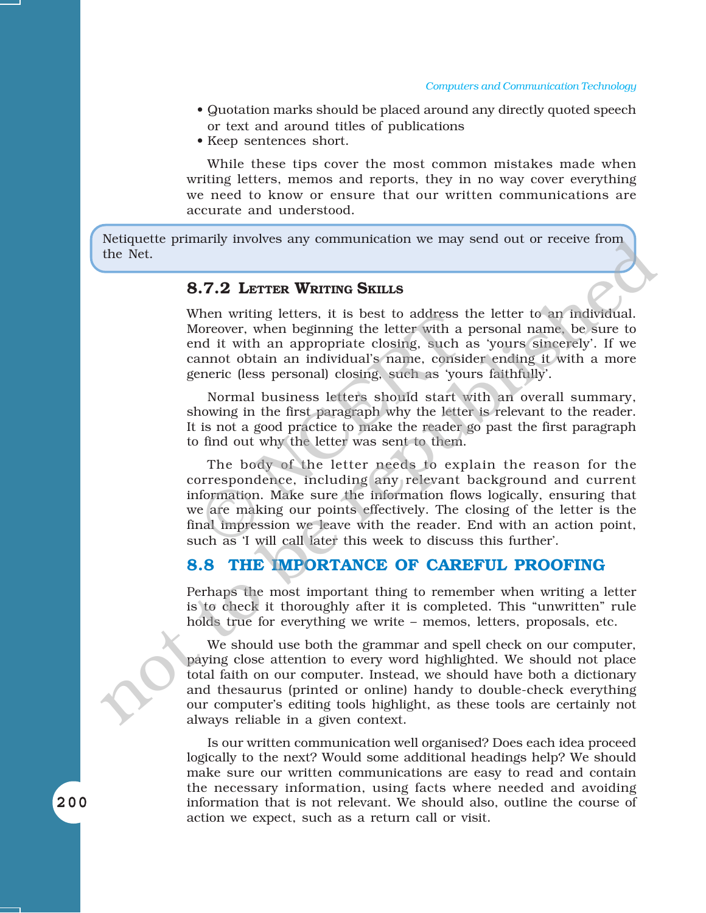- Quotation marks should be placed around any directly quoted speech or text and around titles of publications
- Keep sentences short.

While these tips cover the most common mistakes made when writing letters, memos and reports, they in no way cover everything we need to know or ensure that our written communications are accurate and understood.

Netiquette primarily involves any communication we may send out or receive from the Net.

#### **8.7.2 LETTER WRITING SKILLS**

When writing letters, it is best to address the letter to an individual. Moreover, when beginning the letter with a personal name, be sure to end it with an appropriate closing, such as 'yours sincerely'. If we cannot obtain an individual's name, consider ending it with a more generic (less personal) closing, such as 'yours faithfully'.

Normal business letters should start with an overall summary, showing in the first paragraph why the letter is relevant to the reader. It is not a good practice to make the reader go past the first paragraph to find out why the letter was sent to them.

The body of the letter needs to explain the reason for the correspondence, including any relevant background and current information. Make sure the information flows logically, ensuring that we are making our points effectively. The closing of the letter is the final impression we leave with the reader. End with an action point, such as 'I will call later this week to discuss this further'. Then writing letters, it is best to address foreover, when beginning the letter with a<br>nd it with an appropriate closing, such<br>annot obtain an individual's name, consi-<br>eneric (less personal) closing, such as 'you<br>Normal b Neutrophenon we have sent to the restrict or the sent of the sent of the sent of the Net.<br>
When writing letters, it is best to address the letter to an individual.<br>
Moreover, when beginning the letter with a personal name

#### **8.8 THE IMPORTANCE OF CAREFUL PROOFING**

Perhaps the most important thing to remember when writing a letter is to check it thoroughly after it is completed. This "unwritten" rule holds true for everything we write  $-$  memos, letters, proposals, etc.

We should use both the grammar and spell check on our computer, paying close attention to every word highlighted. We should not place total faith on our computer. Instead, we should have both a dictionary and thesaurus (printed or online) handy to double-check everything our computer's editing tools highlight, as these tools are certainly not always reliable in a given context.

Is our written communication well organised? Does each idea proceed logically to the next? Would some additional headings help? We should make sure our written communications are easy to read and contain the necessary information, using facts where needed and avoiding information that is not relevant. We should also, outline the course of action we expect, such as a return call or visit.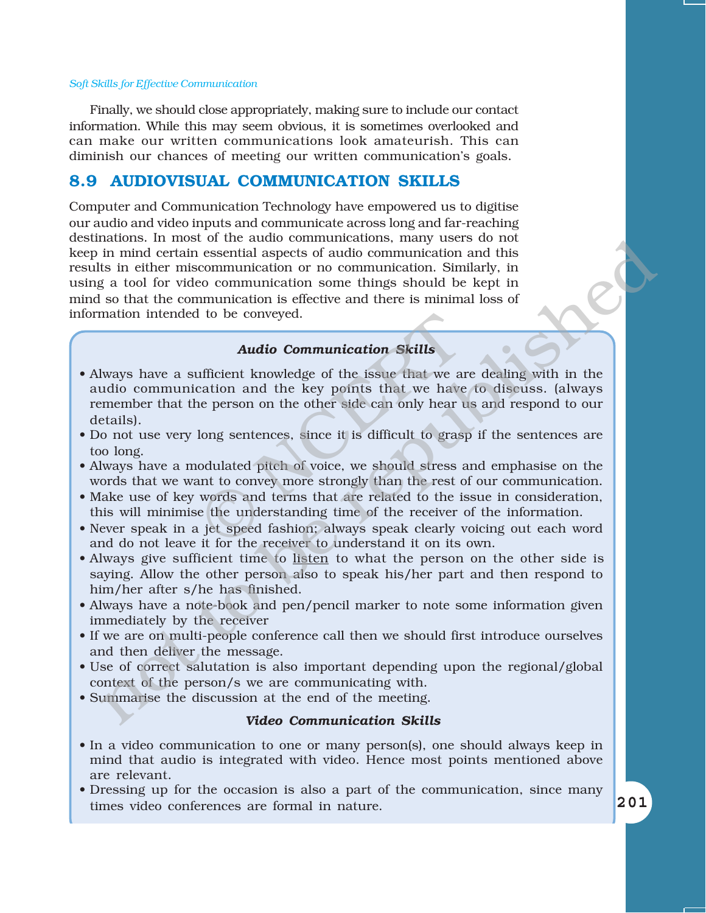Finally, we should close appropriately, making sure to include our contact information. While this may seem obvious, it is sometimes overlooked and can make our written communications look amateurish. This can diminish our chances of meeting our written communicationís goals.

#### **8.9 AUDIOVISUAL COMMUNICATION SKILLS**

Computer and Communication Technology have empowered us to digitise our audio and video inputs and communicate across long and far-reaching destinations. In most of the audio communications, many users do not keep in mind certain essential aspects of audio communication and this results in either miscommunication or no communication. Similarly, in using a tool for video communication some things should be kept in mind so that the communication is effective and there is minimal loss of information intended to be conveyed. notions. If most or the attual communications, many desis to not<br>in mind certain essential aspects of audio communication and this<br>is in their miscommunication or no communication. Similarly, in<br>so it is the formulation is

#### *Audio Communication Skills*

- Always have a sufficient knowledge of the issue that we are dealing with in the audio communication and the key points that we have to discuss. (always remember that the person on the other side can only hear us and respond to our details). **Audio Communication Skills**<br> **Audio Communication Skills**<br> **Audio Communication Skills**<br> **Audio Communication Skills**<br> **Audio Communication Skills**<br> **Consequent Sky points** that we have<br> **e** person on the other side can o
- Do not use very long sentences, since it is difficult to grasp if the sentences are too long.
- ï Always have a modulated pitch of voice, we should stress and emphasise on the words that we want to convey more strongly than the rest of our communication.
- Make use of key words and terms that are related to the issue in consideration, this will minimise the understanding time of the receiver of the information.
- Never speak in a jet speed fashion; always speak clearly voicing out each word and do not leave it for the receiver to understand it on its own.
- Always give sufficient time to listen to what the person on the other side is saying. Allow the other person also to speak his/her part and then respond to him/her after s/he has finished.
- Always have a note-book and pen/pencil marker to note some information given immediately by the receiver
- If we are on multi-people conference call then we should first introduce ourselves and then deliver the message.
- Use of correct salutation is also important depending upon the regional/global context of the person/s we are communicating with.
- ï Summarise the discussion at the end of the meeting.

#### *Video Communication Skills*

- In a video communication to one or many person(s), one should always keep in mind that audio is integrated with video. Hence most points mentioned above are relevant.
- Dressing up for the occasion is also a part of the communication, since many times video conferences are formal in nature.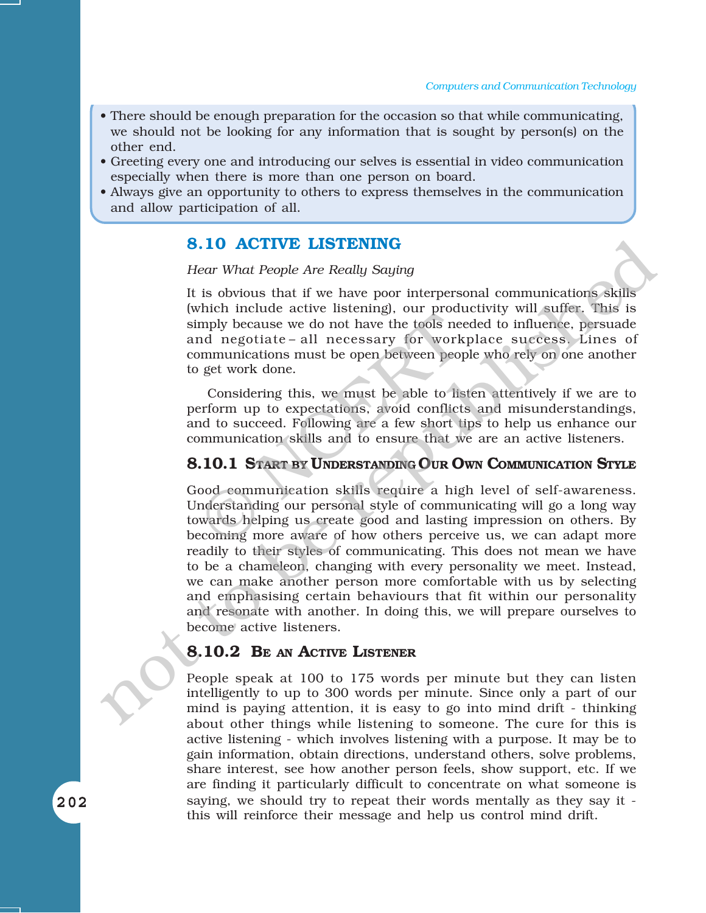- There should be enough preparation for the occasion so that while communicating, we should not be looking for any information that is sought by person(s) on the other end.
- ï Greeting every one and introducing our selves is essential in video communication especially when there is more than one person on board.
- ï Always give an opportunity to others to express themselves in the communication and allow participation of all.

#### **8.10 ACTIVE LISTENING**

#### *Hear What People Are Really Saying*

It is obvious that if we have poor interpersonal communications skills (which include active listening), our productivity will suffer. This is simply because we do not have the tools needed to influence, persuade and negotiate-all necessary for workplace success. Lines of communications must be open between people who rely on one another to get work done. men metade active incoming, our production<br>mply because we do not have the tools need negotiate – all necessary for work<br>bommunications must be open between peop<br>get work done.<br>Considering this, we must be able to lis<br>erfo

Considering this, we must be able to listen attentively if we are to perform up to expectations, avoid conflicts and misunderstandings, and to succeed. Following are a few short tips to help us enhance our communication skills and to ensure that we are an active listeners.

#### **8.10.1 START BY UNDERSTANDING OUR OWN COMMUNICATION STYLE**

Good communication skills require a high level of self-awareness. Understanding our personal style of communicating will go a long way towards helping us create good and lasting impression on others. By becoming more aware of how others perceive us, we can adapt more readily to their styles of communicating. This does not mean we have to be a chameleon, changing with every personality we meet. Instead, we can make another person more comfortable with us by selecting and emphasising certain behaviours that fit within our personality and resonate with another. In doing this, we will prepare ourselves to become active listeners. **8.10 ACTIVE LISTENING**<br>
Hear What People Are Really Saying<br>
11 is obvious that if we have been expected communications skills<br>
(which include active listening), our productivity will suffer. This is<br>
simply because we do

#### **8.10.2 BE AN ACTIVE LISTENER**

People speak at 100 to 175 words per minute but they can listen intelligently to up to 300 words per minute. Since only a part of our mind is paying attention, it is easy to go into mind drift - thinking about other things while listening to someone. The cure for this is active listening - which involves listening with a purpose. It may be to gain information, obtain directions, understand others, solve problems, share interest, see how another person feels, show support, etc. If we are finding it particularly difficult to concentrate on what someone is saying, we should try to repeat their words mentally as they say it this will reinforce their message and help us control mind drift.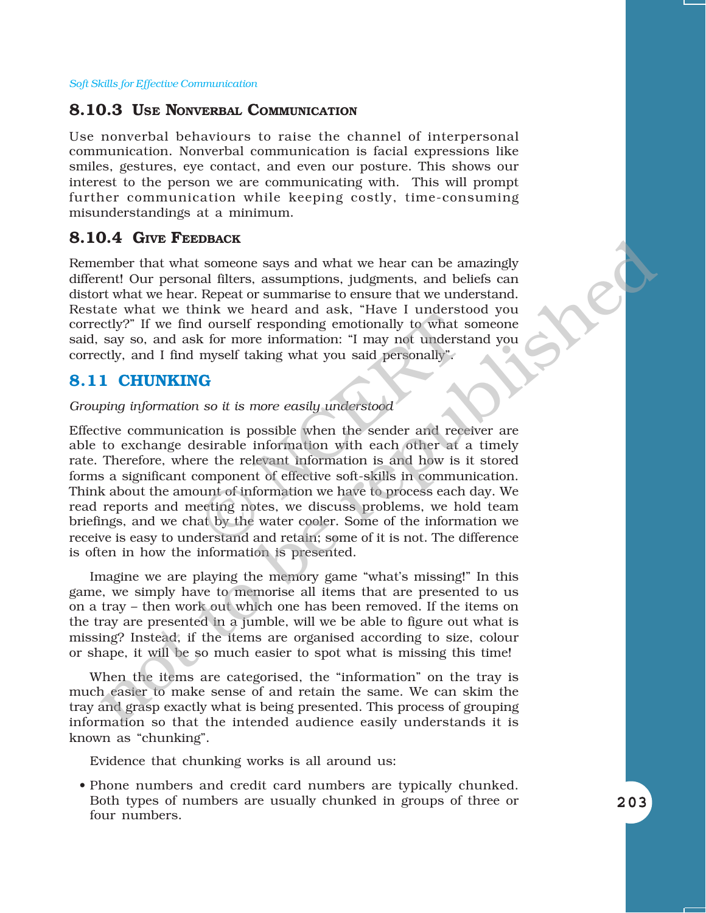#### **8.10.3 USE NONVERBAL COMMUNICATION**

Use nonverbal behaviours to raise the channel of interpersonal communication. Nonverbal communication is facial expressions like smiles, gestures, eye contact, and even our posture. This shows our interest to the person we are communicating with. This will prompt further communication while keeping costly, time-consuming misunderstandings at a minimum.

#### **8.10.4 GIVE FEEDBACK**

Remember that what someone says and what we hear can be amazingly different! Our personal filters, assumptions, judgments, and beliefs can distort what we hear. Repeat or summarise to ensure that we understand. Restate what we think we heard and ask, "Have I understood you correctly?î If we find ourself responding emotionally to what someone said, say so, and ask for more information: "I may not understand you correctly, and I find myself taking what you said personally".

#### **8.11 CHUNKING**

#### *Grouping information so it is more easily understood*

Effective communication is possible when the sender and receiver are able to exchange desirable information with each other at a timely rate. Therefore, where the relevant information is and how is it stored forms a significant component of effective soft-skills in communication. Think about the amount of information we have to process each day. We read reports and meeting notes, we discuss problems, we hold team briefings, and we chat by the water cooler. Some of the information we receive is easy to understand and retain; some of it is not. The difference is often in how the information is presented. If ourself responding emotionally to what shall ourself responding emotionally to what shall be what shall be what shall be also different myself taking what you said personally".<br>
Consider the sender and recessirable info **O-4 CHVE FEEDBACK**<br>
Tend what someone says and what we hear can be amazingly<br>
rend to the ract. Repeat or summariste to ensure that we understand.<br>
retwitt we heard. Repeat or summariste to ensure that we understand<br>
r

Imagine we are playing the memory game "what's missing!" In this game, we simply have to memorise all items that are presented to us on a tray – then work out which one has been removed. If the items on the tray are presented in a jumble, will we be able to figure out what is missing? Instead, if the items are organised according to size, colour or shape, it will be so much easier to spot what is missing this time!

When the items are categorised, the "information" on the tray is much easier to make sense of and retain the same. We can skim the tray and grasp exactly what is being presented. This process of grouping information so that the intended audience easily understands it is known as "chunking".

Evidence that chunking works is all around us:

• Phone numbers and credit card numbers are typically chunked. Both types of numbers are usually chunked in groups of three or four numbers.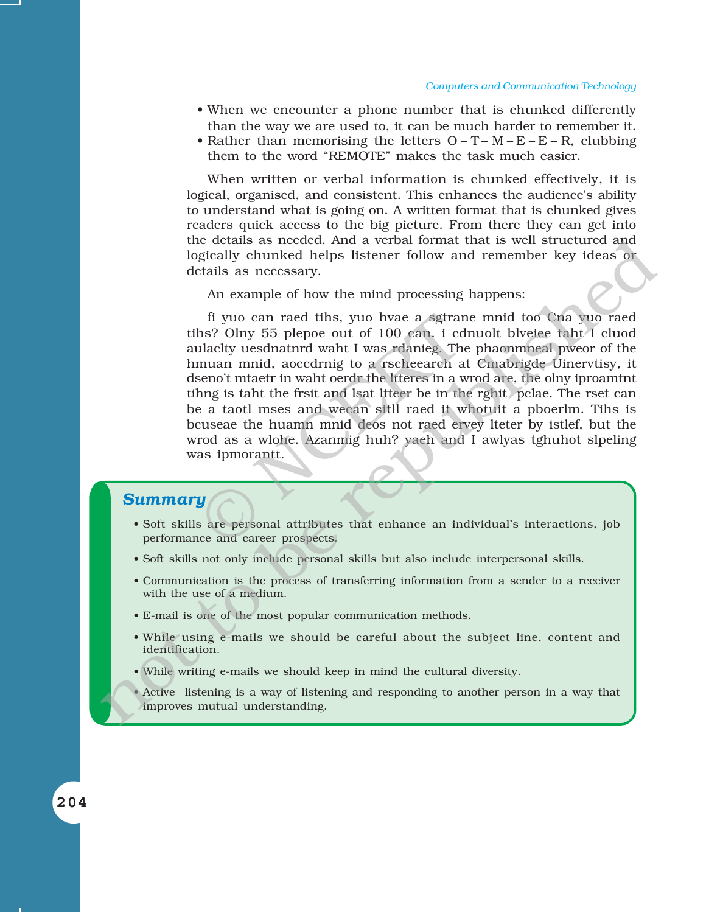- When we encounter a phone number that is chunked differently than the way we are used to, it can be much harder to remember it.
- Rather than memorising the letters  $O T M E E R$ , clubbing them to the word "REMOTE" makes the task much easier.

When written or verbal information is chunked effectively, it is logical, organised, and consistent. This enhances the audience's ability to understand what is going on. A written format that is chunked gives readers quick access to the big picture. From there they can get into the details as needed. And a verbal format that is well structured and logically chunked helps listener follow and remember key ideas or details as necessary.

An example of how the mind processing happens:

fi yuo can raed tihs, yuo hvae a sgtrane mnid too Cna yuo raed tihs? Olny 55 plepoe out of 100 can. i cdnuolt blveiee taht I cluod aulaclty uesdnatnrd waht I was rdanieg. The phaonmneal pweor of the hmuan mnid, aoccdrnig to a rscheearch at Cmabrigde Uinervtisy, it dseno't mtaetr in waht oerdr the ltteres in a wrod are, the olny iproamtnt tihng is taht the frsit and lsat ltteer be in the rghit pclae. The rset can be a taotl mses and wecan sitll raed it whotuit a pboerlm. Tihs is bcuseae the huamn mnid deos not raed ervey lteter by istlef, but the wrod as a wlohe. Azanmig huh? yaeh and I awlyas tghuhot slpeling was ipmorantt. fi yuo can raed tihs, yuo hvae a sgtrar<br>hs? Olny 55 plepoe out of 100 can. i cd<br>ulacity uesdnatnrd waht I was rdanieg. The<br>muan mnid, aoccdrnig to a rscheearch a<br>seno't mtaetr in waht oerdr the literes in a w<br>hng is taht t In details as needed. And a verbal formula that is well structured and<br>logically chunked helps listener follow and remember key ideas or<br>details as necessary.<br>An example of how the mind processing happens:<br>The you can rea

#### *Summary*

- Soft skills are personal attributes that enhance an individual's interactions, job performance and career prospects.
- Soft skills not only include personal skills but also include interpersonal skills.
- Communication is the process of transferring information from a sender to a receiver with the use of a medium.
- ï E-mail is one of the most popular communication methods.
- While using e-mails we should be careful about the subject line, content and identification.
- ï While writing e-mails we should keep in mind the cultural diversity.
- Active listening is a way of listening and responding to another person in a way that improves mutual understanding.